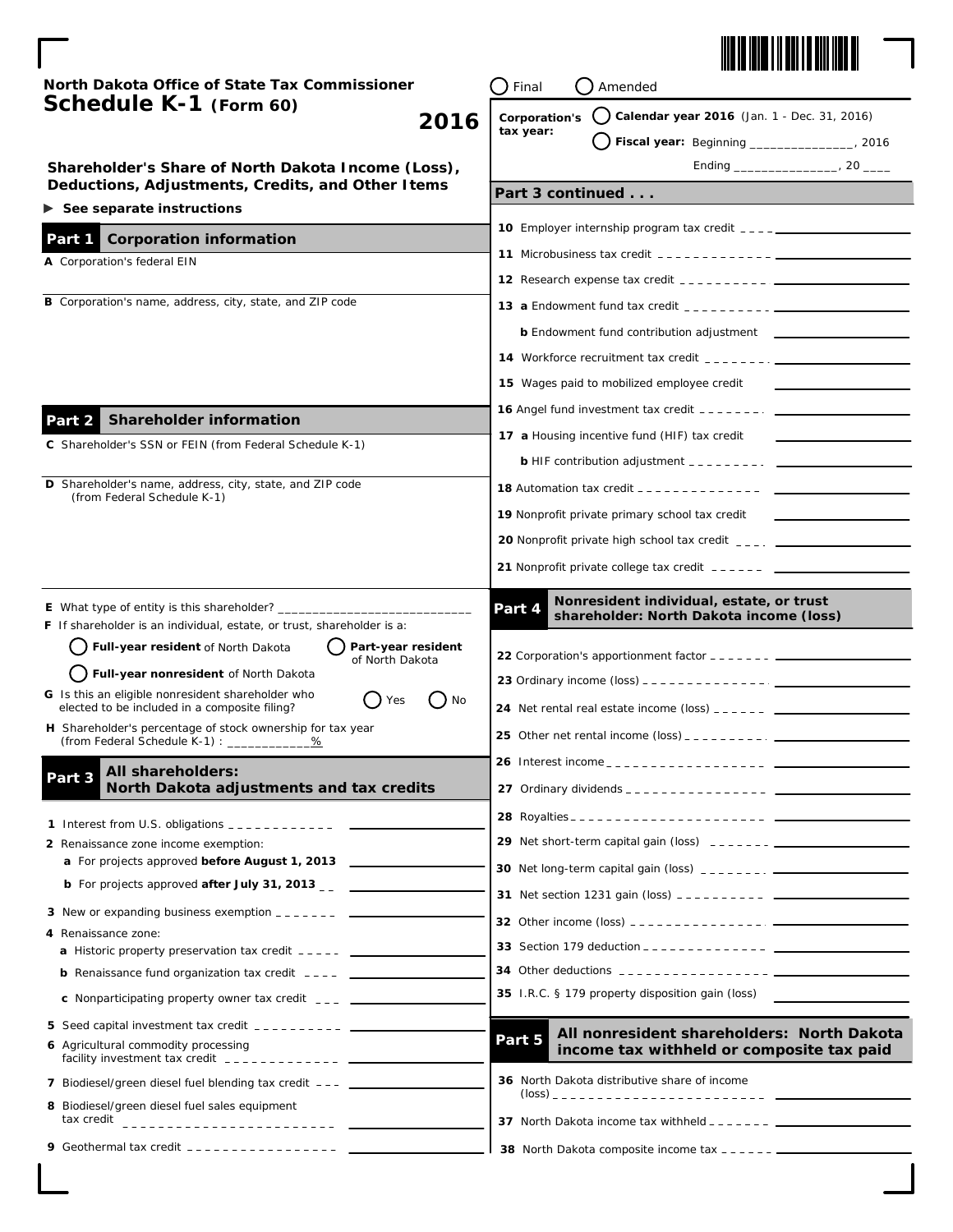

 $\overline{\phantom{0}}$  $\mathbf l$ 

| North Dakota Office of State Tax Commissioner                                                                                                                                                                                                                                                                                | Final<br>Amended                                                                                                                                                                                                                                                                                    |                                                    |
|------------------------------------------------------------------------------------------------------------------------------------------------------------------------------------------------------------------------------------------------------------------------------------------------------------------------------|-----------------------------------------------------------------------------------------------------------------------------------------------------------------------------------------------------------------------------------------------------------------------------------------------------|----------------------------------------------------|
| Schedule K-1 (Form 60)<br>2016                                                                                                                                                                                                                                                                                               | Calendar year 2016 (Jan. 1 - Dec. 31, 2016)<br>Corporation's<br>tax year:<br>Fiscal year: Beginning _________________, 2016                                                                                                                                                                         |                                                    |
|                                                                                                                                                                                                                                                                                                                              |                                                                                                                                                                                                                                                                                                     | Shareholder's Share of North Dakota Income (Loss), |
| Deductions, Adjustments, Credits, and Other Items                                                                                                                                                                                                                                                                            | Part 3 continued                                                                                                                                                                                                                                                                                    |                                                    |
| See separate instructions                                                                                                                                                                                                                                                                                                    |                                                                                                                                                                                                                                                                                                     |                                                    |
| <b>Corporation information</b><br>Part 1                                                                                                                                                                                                                                                                                     | <b>11</b> Microbusiness tax credit $\frac{1}{2}$ = $\frac{1}{2}$ = $\frac{1}{2}$ = $\frac{1}{2}$ = $\frac{1}{2}$ = $\frac{1}{2}$ = $\frac{1}{2}$ = $\frac{1}{2}$ = $\frac{1}{2}$ = $\frac{1}{2}$ = $\frac{1}{2}$ = $\frac{1}{2}$ = $\frac{1}{2}$ = $\frac{1}{2}$ = $\frac{1}{2}$ = $\frac{1}{2}$ =  |                                                    |
| A Corporation's federal EIN                                                                                                                                                                                                                                                                                                  |                                                                                                                                                                                                                                                                                                     |                                                    |
| B Corporation's name, address, city, state, and ZIP code                                                                                                                                                                                                                                                                     |                                                                                                                                                                                                                                                                                                     |                                                    |
|                                                                                                                                                                                                                                                                                                                              | <b>13 a Endowment fund tax credit</b> $\frac{1}{2}$ = $\frac{1}{2}$ = $\frac{1}{2}$ = $\frac{1}{2}$ = $\frac{1}{2}$ = $\frac{1}{2}$ = $\frac{1}{2}$ = $\frac{1}{2}$ = $\frac{1}{2}$ = $\frac{1}{2}$ = $\frac{1}{2}$ = $\frac{1}{2}$ = $\frac{1}{2}$ = $\frac{1}{2}$ = $\frac{1}{2}$ = $\frac{1}{2}$ |                                                    |
|                                                                                                                                                                                                                                                                                                                              | <b>b</b> Endowment fund contribution adjustment _____________                                                                                                                                                                                                                                       |                                                    |
|                                                                                                                                                                                                                                                                                                                              |                                                                                                                                                                                                                                                                                                     |                                                    |
|                                                                                                                                                                                                                                                                                                                              | 15 Wages paid to mobilized employee credit                                                                                                                                                                                                                                                          |                                                    |
| <b>Shareholder information</b><br>Part 2                                                                                                                                                                                                                                                                                     | <b>16</b> Angel fund investment tax credit $\frac{1}{2}$ = $\frac{1}{2}$ = $\frac{1}{2}$ = $\frac{1}{2}$ = $\frac{1}{2}$                                                                                                                                                                            |                                                    |
| C Shareholder's SSN or FEIN (from Federal Schedule K-1)                                                                                                                                                                                                                                                                      | 17 a Housing incentive fund (HIF) tax credit                                                                                                                                                                                                                                                        |                                                    |
|                                                                                                                                                                                                                                                                                                                              | <b>b</b> HIF contribution adjustment $\frac{1}{2}$ $\frac{1}{2}$ $\frac{1}{2}$ $\frac{1}{2}$ $\frac{1}{2}$                                                                                                                                                                                          |                                                    |
| D Shareholder's name, address, city, state, and ZIP code<br>(from Federal Schedule K-1)                                                                                                                                                                                                                                      | <b>18</b> Automation tax credit $\frac{1}{2}$ = $\frac{1}{2}$ = $\frac{1}{2}$ = $\frac{1}{2}$ = $\frac{1}{2}$ = $\frac{1}{2}$                                                                                                                                                                       |                                                    |
|                                                                                                                                                                                                                                                                                                                              | 19 Nonprofit private primary school tax credit                                                                                                                                                                                                                                                      |                                                    |
|                                                                                                                                                                                                                                                                                                                              | <b>20</b> Nonprofit private high school tax credit $\frac{1}{2}$ $\frac{1}{2}$ $\frac{1}{2}$ $\frac{1}{2}$                                                                                                                                                                                          |                                                    |
|                                                                                                                                                                                                                                                                                                                              |                                                                                                                                                                                                                                                                                                     |                                                    |
| <b>E</b> What type of entity is this shareholder?<br><b>F</b> If shareholder is an individual, estate, or trust, shareholder is a:<br>Full-year resident of North Dakota<br>Part-year resident<br>of North Dakota<br>Full-year nonresident of North Dakota<br>G Is this an eligible nonresident shareholder who<br>Yes<br>No | Nonresident individual, estate, or trust<br>Part 4<br>shareholder: North Dakota income (loss)                                                                                                                                                                                                       |                                                    |
| elected to be included in a composite filing?<br>H Shareholder's percentage of stock ownership for tax year                                                                                                                                                                                                                  |                                                                                                                                                                                                                                                                                                     |                                                    |
| (from Federal Schedule K-1) : ______________                                                                                                                                                                                                                                                                                 | 25 Other net rental income (loss) _ _ _ _ _ _ _ _ _ _ _ _                                                                                                                                                                                                                                           |                                                    |
| All shareholders:<br>Part 3                                                                                                                                                                                                                                                                                                  |                                                                                                                                                                                                                                                                                                     |                                                    |
| North Dakota adjustments and tax credits                                                                                                                                                                                                                                                                                     |                                                                                                                                                                                                                                                                                                     |                                                    |
|                                                                                                                                                                                                                                                                                                                              |                                                                                                                                                                                                                                                                                                     |                                                    |
| 2 Renaissance zone income exemption:                                                                                                                                                                                                                                                                                         |                                                                                                                                                                                                                                                                                                     |                                                    |
| a For projects approved before August 1, 2013                                                                                                                                                                                                                                                                                | <b>30</b> Net long-term capital gain (loss) $\frac{1}{2}$ = $\frac{1}{2}$ = $\frac{1}{2}$ = $\frac{1}{2}$ = $\frac{1}{2}$ = $\frac{1}{2}$ = $\frac{1}{2}$ = $\frac{1}{2}$ = $\frac{1}{2}$ = $\frac{1}{2}$ = $\frac{1}{2}$ = $\frac{1}{2}$ = $\frac{1}{2}$ = $\frac{1}{2}$ = $\frac{1}{2}$ = $\$     |                                                    |
| <b>b</b> For projects approved <i>after July 31, 2013</i>                                                                                                                                                                                                                                                                    |                                                                                                                                                                                                                                                                                                     |                                                    |
| 3 New or expanding business exemption _______ ___                                                                                                                                                                                                                                                                            |                                                                                                                                                                                                                                                                                                     |                                                    |
| 4 Renaissance zone:<br><b>a</b> Historic property preservation tax credit _____ _____________________________                                                                                                                                                                                                                | <b>33</b> Section 179 deduction $---------------$                                                                                                                                                                                                                                                   |                                                    |
| <b>b</b> Renaissance fund organization tax credit $---$                                                                                                                                                                                                                                                                      |                                                                                                                                                                                                                                                                                                     |                                                    |
| <b>c</b> Nonparticipating property owner tax credit $\frac{1}{2}$ ________                                                                                                                                                                                                                                                   | 35 I.R.C. § 179 property disposition gain (loss)                                                                                                                                                                                                                                                    |                                                    |
| 5 Seed capital investment tax credit __________ ______                                                                                                                                                                                                                                                                       |                                                                                                                                                                                                                                                                                                     |                                                    |
| 6 Agricultural commodity processing<br>facility investment tax credit $-$ - - - - - - - - - - - $-$                                                                                                                                                                                                                          | All nonresident shareholders: North Dakota<br>Part 5<br>income tax withheld or composite tax paid                                                                                                                                                                                                   |                                                    |
| 7 Biodiesel/green diesel fuel blending tax credit ___ _______                                                                                                                                                                                                                                                                | 36 North Dakota distributive share of income                                                                                                                                                                                                                                                        |                                                    |
| 8 Biodiesel/green diesel fuel sales equipment                                                                                                                                                                                                                                                                                |                                                                                                                                                                                                                                                                                                     |                                                    |
| 9 Geothermal tax credit ---------------- ___                                                                                                                                                                                                                                                                                 |                                                                                                                                                                                                                                                                                                     |                                                    |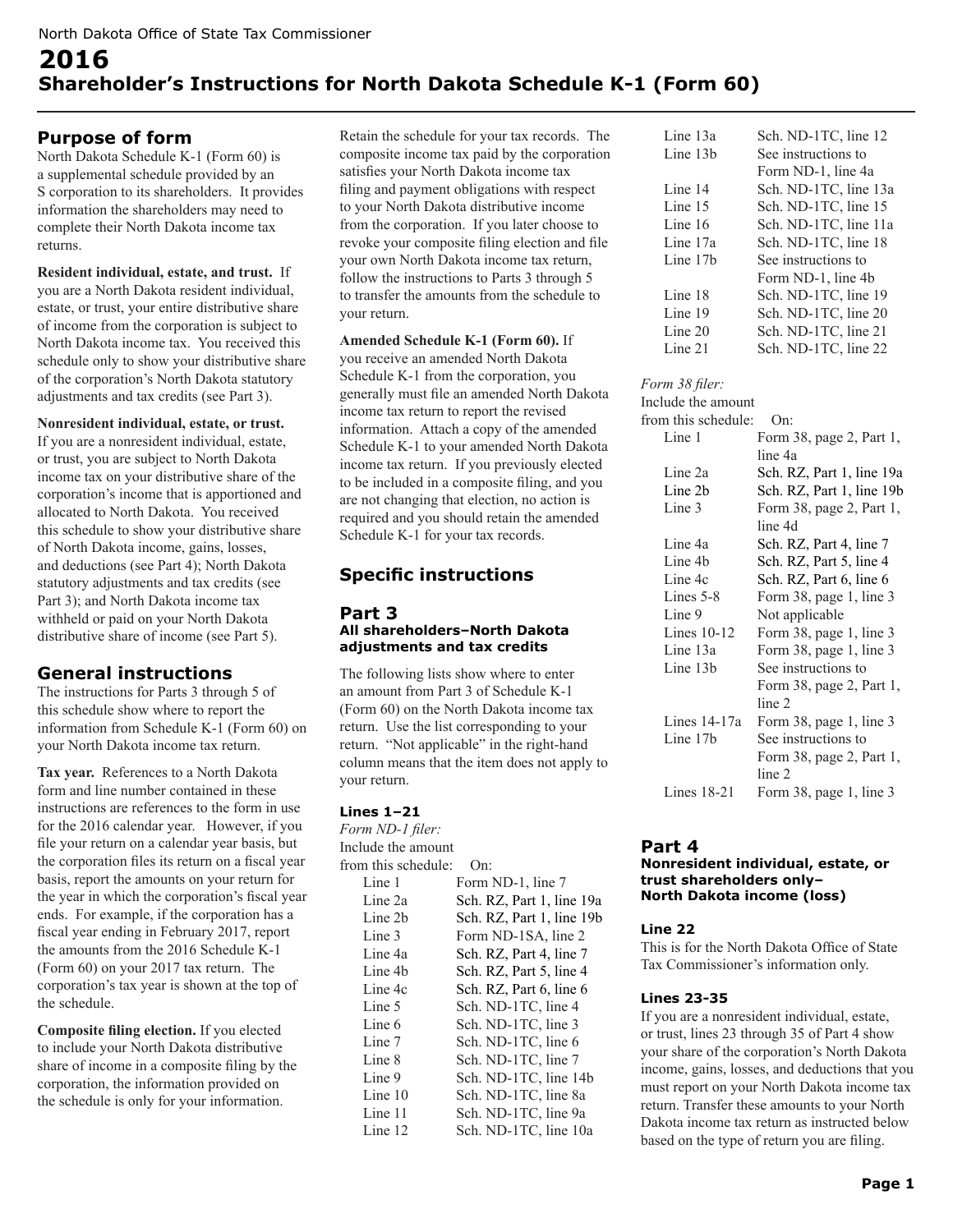# **2016 Shareholder's Instructions for North Dakota Schedule K-1 (Form 60)**

# **Purpose of form**

North Dakota Schedule K-1 (Form 60) is a supplemental schedule provided by an S corporation to its shareholders. It provides information the shareholders may need to complete their North Dakota income tax returns.

#### **Resident individual, estate, and trust.** If you are a North Dakota resident individual, estate, or trust, your entire distributive share of income from the corporation is subject to North Dakota income tax. You received this schedule only to show your distributive share of the corporation's North Dakota statutory adjustments and tax credits (see Part 3).

#### **Nonresident individual, estate, or trust.**

If you are a nonresident individual, estate, or trust, you are subject to North Dakota income tax on your distributive share of the corporation's income that is apportioned and allocated to North Dakota. You received this schedule to show your distributive share of North Dakota income, gains, losses, and deductions (see Part 4); North Dakota statutory adjustments and tax credits (see Part 3); and North Dakota income tax withheld or paid on your North Dakota distributive share of income (see Part 5).

# **General instructions**

The instructions for Parts 3 through 5 of this schedule show where to report the information from Schedule K-1 (Form 60) on your North Dakota income tax return.

**Tax year.** References to a North Dakota form and line number contained in these instructions are references to the form in use for the 2016 calendar year. However, if you file your return on a calendar year basis, but the corporation files its return on a fiscal year basis, report the amounts on your return for the year in which the corporation's fiscal year ends. For example, if the corporation has a fiscal year ending in February 2017, report the amounts from the 2016 Schedule K-1 (Form 60) on your 2017 tax return. The corporation's tax year is shown at the top of the schedule.

**Composite filing election.** If you elected to include your North Dakota distributive share of income in a composite filing by the corporation, the information provided on the schedule is only for your information.

Retain the schedule for your tax records. The composite income tax paid by the corporation satisfies your North Dakota income tax filing and payment obligations with respect to your North Dakota distributive income from the corporation. If you later choose to revoke your composite filing election and file your own North Dakota income tax return, follow the instructions to Parts 3 through 5 to transfer the amounts from the schedule to your return.

**Amended Schedule K-1 (Form 60).** If you receive an amended North Dakota Schedule K-1 from the corporation, you generally must file an amended North Dakota income tax return to report the revised information. Attach a copy of the amended Schedule K-1 to your amended North Dakota income tax return. If you previously elected to be included in a composite filing, and you are not changing that election, no action is required and you should retain the amended Schedule K-1 for your tax records.

# **Specific instructions**

#### **Part 3 All shareholders–North Dakota adjustments and tax credits**

The following lists show where to enter an amount from Part 3 of Schedule K-1 (Form 60) on the North Dakota income tax return. Use the list corresponding to your return. "Not applicable" in the right-hand column means that the item does not apply to your return.

## **Lines 1–21**

*Form ND-1 filer:* Include the amount from this schedule: On: Line 1 Form ND-1, line 7 Line 2a Sch. RZ, Part 1, line 19a Line 2b Sch. RZ, Part 1, line 19b Line 3 Form ND-1SA, line 2 Line 4a Sch. RZ, Part 4, line 7 Line 4b Sch. RZ, Part 5, line 4 Line 4c Sch. RZ, Part 6, line 6 Line 5 Sch. ND-1TC, line 4 Line 6 Sch. ND-1TC, line 3 Line 7 Sch. ND-1TC, line 6 Line 8 Sch. ND-1TC, line 7 Line 9 Sch. ND-1TC, line 14b Line 10 Sch. ND-1TC, line 8a Line 11 Sch. ND-1TC, line 9a Line 12 Sch. ND-1TC, line 10a

| Line 13a             | Sch. ND-1TC, line 12  |
|----------------------|-----------------------|
| Line 13 <sub>b</sub> | See instructions to   |
|                      | Form ND-1, line 4a    |
| Line 14              | Sch. ND-1TC, line 13a |
| Line 15              | Sch. ND-1TC, line 15  |
| Line 16              | Sch. ND-1TC, line 11a |
| Line 17a             | Sch. ND-1TC, line 18  |
| Line 17b             | See instructions to   |
|                      | Form ND-1, line 4b    |
| Line 18              | Sch. ND-1TC, line 19  |
| Line 19              | Sch. ND-1TC, line 20  |
| Line 20              | Sch. ND-1TC, line 21  |
| Line 21              | Sch. ND-1TC, line 22  |

#### *Form 38 filer:*

Include the amount from this schedule: On: Line 1 Form 38, page 2, Part 1, line 4a Line 2a Sch. RZ, Part 1, line 19a Line 2b Sch. RZ, Part 1, line 19b Line 3 Form 38, page 2, Part 1, line 4d Line 4a Sch. RZ, Part 4, line 7 Line 4b Sch. RZ, Part 5, line 4 Line 4c Sch. RZ, Part 6, line 6 Lines 5-8 Form 38, page 1, line 3 Line 9 Not applicable Lines 10-12 Form 38, page 1, line 3 Line 13a Form 38, page 1, line 3 Line 13b See instructions to Form 38, page 2, Part 1, line 2<br>Lines 14-17a Form Form 38, page 1, line 3 Line 17b See instructions to Form 38, page 2, Part 1, line 2 Lines 18-21 Form 38, page 1, line 3

## **Part 4**

#### **Nonresident individual, estate, or trust shareholders only– North Dakota income (loss)**

#### **Line 22**

This is for the North Dakota Office of State Tax Commissioner's information only.

## **Lines 23-35**

If you are a nonresident individual, estate, or trust, lines 23 through 35 of Part 4 show your share of the corporation's North Dakota income, gains, losses, and deductions that you must report on your North Dakota income tax return. Transfer these amounts to your North Dakota income tax return as instructed below based on the type of return you are filing.